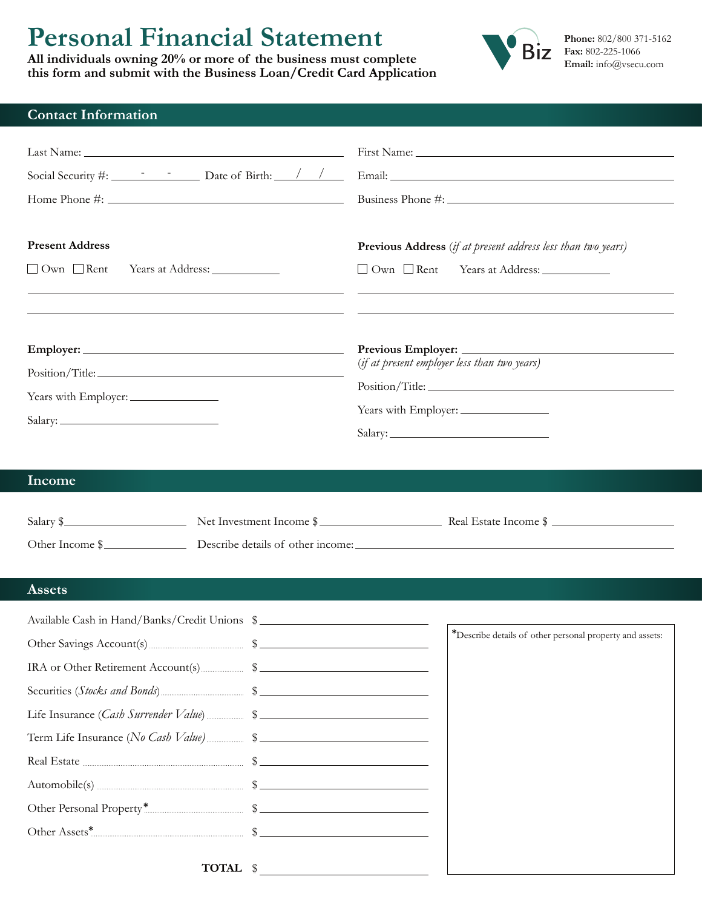# **Personal Financial Statement**

**All individuals owning 20% or more of the business must complete this form and submit with the Business Loan/Credit Card Application**



## **Contact Information**

| <b>Present Address</b><br>$\Box$ Own $\Box$ Rent<br>Years at Address: ______________                                                                                                           | Previous Address (if at present address less than two years)<br>□ Own □ Rent Years at Address: ____________<br><u> 1989 - Andrea Santa Andrea Santa Andrea Santa Andrea Andrea Santa Andrea Santa Andrea Santa Andrea Santa Andr</u> |  |
|------------------------------------------------------------------------------------------------------------------------------------------------------------------------------------------------|--------------------------------------------------------------------------------------------------------------------------------------------------------------------------------------------------------------------------------------|--|
| Position/Title:<br>Years with Employer:                                                                                                                                                        | Previous Employer:<br>(if at present employer less than two years)                                                                                                                                                                   |  |
| Income                                                                                                                                                                                         | Salary \$<br>Other Income \$                                                                                                                                                                                                         |  |
| <b>Assets</b>                                                                                                                                                                                  |                                                                                                                                                                                                                                      |  |
| Available Cash in Hand/Banks/Credit Unions \$<br>IRA or Other Retirement Account(s) 5<br>Term Life Insurance (No Cash Value) 5<br>Other Personal Property* 3<br>$\text{TOTAL} \quad \text{\$}$ | *Describe details of other personal property and assets:                                                                                                                                                                             |  |